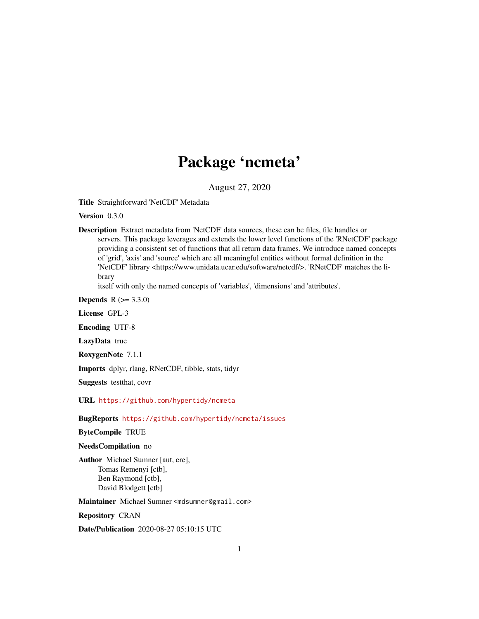# Package 'ncmeta'

August 27, 2020

Title Straightforward 'NetCDF' Metadata

Version 0.3.0

Description Extract metadata from 'NetCDF' data sources, these can be files, file handles or servers. This package leverages and extends the lower level functions of the 'RNetCDF' package providing a consistent set of functions that all return data frames. We introduce named concepts of 'grid', 'axis' and 'source' which are all meaningful entities without formal definition in the 'NetCDF' library <https://www.unidata.ucar.edu/software/netcdf/>. 'RNetCDF' matches the library

itself with only the named concepts of 'variables', 'dimensions' and 'attributes'.

**Depends** R  $(>= 3.3.0)$ 

License GPL-3

Encoding UTF-8

LazyData true

RoxygenNote 7.1.1

Imports dplyr, rlang, RNetCDF, tibble, stats, tidyr

Suggests testthat, covr

URL <https://github.com/hypertidy/ncmeta>

BugReports <https://github.com/hypertidy/ncmeta/issues>

ByteCompile TRUE

NeedsCompilation no

Author Michael Sumner [aut, cre], Tomas Remenyi [ctb], Ben Raymond [ctb], David Blodgett [ctb]

Maintainer Michael Sumner <mdsumner@gmail.com>

Repository CRAN

Date/Publication 2020-08-27 05:10:15 UTC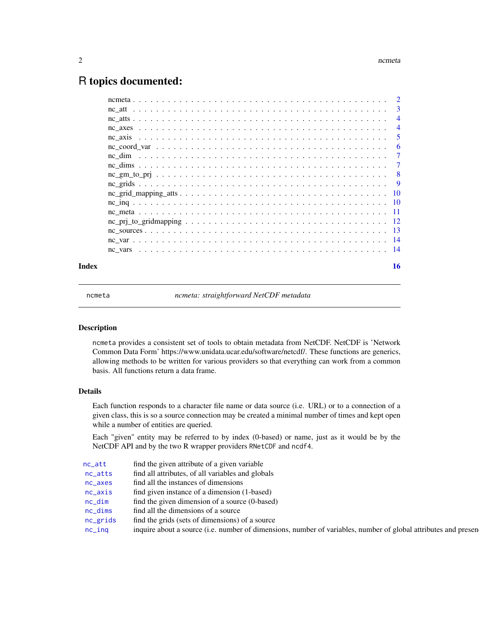# <span id="page-1-0"></span>R topics documented:

| Index | 16             |
|-------|----------------|
|       |                |
|       |                |
|       |                |
|       |                |
|       |                |
|       |                |
|       |                |
|       |                |
|       |                |
|       |                |
|       | -7             |
|       | -6             |
|       | -5             |
|       | $\overline{4}$ |
|       | $\overline{4}$ |
|       |                |
|       |                |

ncmeta *ncmeta: straightforward NetCDF metadata*

#### Description

ncmeta provides a consistent set of tools to obtain metadata from NetCDF. NetCDF is 'Network Common Data Form' https://www.unidata.ucar.edu/software/netcdf/. These functions are generics, allowing methods to be written for various providers so that everything can work from a common basis. All functions return a data frame.

# Details

Each function responds to a character file name or data source (i.e. URL) or to a connection of a given class, this is so a source connection may be created a minimal number of times and kept open while a number of entities are queried.

Each "given" entity may be referred to by index (0-based) or name, just as it would be by the NetCDF API and by the two R wrapper providers RNetCDF and ncdf4.

| nc_att      | find the given attribute of a given variable                                                                   |
|-------------|----------------------------------------------------------------------------------------------------------------|
| nc_atts     | find all attributes, of all variables and globals                                                              |
| $nc$ $axes$ | find all the instances of dimensions                                                                           |
| $nc$ $axis$ | find given instance of a dimension (1-based)                                                                   |
| $nc\_dim$   | find the given dimension of a source (0-based)                                                                 |
| $nc\_dims$  | find all the dimensions of a source                                                                            |
| nc_grids    | find the grids (sets of dimensions) of a source                                                                |
| $nc$ ing    | inquire about a source (i.e. number of dimensions, number of variables, number of global attributes and presen |
|             |                                                                                                                |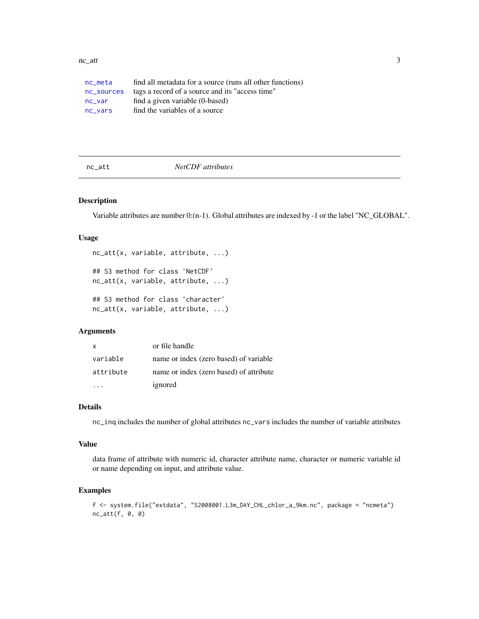#### <span id="page-2-0"></span> $nc\_att$  3

| nc meta    | find all metadata for a source (runs all other functions) |
|------------|-----------------------------------------------------------|
| nc_sources | tags a record of a source and its "access time"           |
| nc var     | find a given variable (0-based)                           |
| nc vars    | find the variables of a source                            |

<span id="page-2-1"></span>nc\_att *NetCDF attributes*

#### Description

Variable attributes are number 0:(n-1). Global attributes are indexed by -1 or the label "NC\_GLOBAL".

# Usage

```
nc_att(x, variable, attribute, ...)
## S3 method for class 'NetCDF'
nc_att(x, variable, attribute, ...)
## S3 method for class 'character'
nc_att(x, variable, attribute, ...)
```
# Arguments

| $\mathbf{x}$ | or file handle                          |
|--------------|-----------------------------------------|
| variable     | name or index (zero based) of variable  |
| attribute    | name or index (zero based) of attribute |
|              | ignored                                 |

# Details

nc\_inq includes the number of global attributes nc\_vars includes the number of variable attributes

#### Value

data frame of attribute with numeric id, character attribute name, character or numeric variable id or name depending on input, and attribute value.

# Examples

```
f <- system.file("extdata", "S2008001.L3m_DAY_CHL_chlor_a_9km.nc", package = "ncmeta")
nc_att(f, \theta, \theta)
```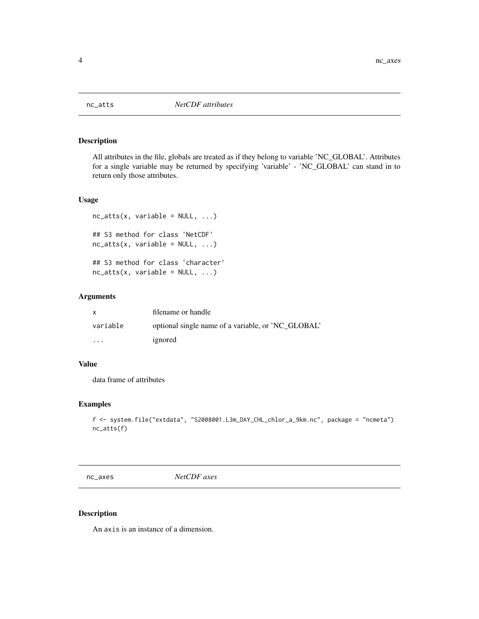<span id="page-3-1"></span><span id="page-3-0"></span>

All attributes in the file, globals are treated as if they belong to variable 'NC\_GLOBAL'. Attributes for a single variable may be returned by specifying 'variable' - 'NC\_GLOBAL' can stand in to return only those attributes.

#### Usage

```
nc\_atts(x, variable = NULL, ...)## S3 method for class 'NetCDF'
nc\_atts(x, variable = NULL, ...)## S3 method for class 'character'
nc\_atts(x, variable = NULL, ...)
```
# Arguments

| X                    | filename or handle                                 |
|----------------------|----------------------------------------------------|
| variable             | optional single name of a variable, or 'NC GLOBAL' |
| $\ddot{\phantom{0}}$ | ignored                                            |

# Value

data frame of attributes

# Examples

```
f <- system.file("extdata", "S2008001.L3m_DAY_CHL_chlor_a_9km.nc", package = "ncmeta")
nc_atts(f)
```
<span id="page-3-2"></span>nc\_axes *NetCDF axes*

### Description

An axis is an instance of a dimension.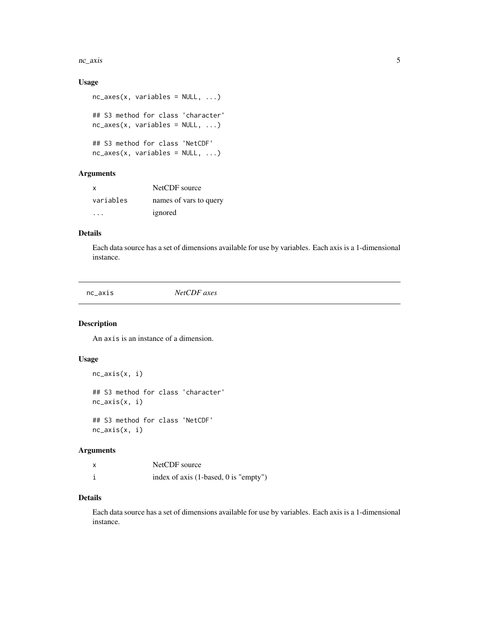#### <span id="page-4-0"></span>nc\_axis 5

# Usage

```
nc\_{axes}(x, variables = NULL, ...)## S3 method for class 'character'
nc_axes(x, variables = NULL, ...)## S3 method for class 'NetCDF'
nc_axes(x, variables = NULL, ...)
```
# Arguments

| x         | NetCDF source          |
|-----------|------------------------|
| variables | names of vars to query |
| .         | ignored                |

### Details

Each data source has a set of dimensions available for use by variables. Each axis is a 1-dimensional instance.

<span id="page-4-1"></span>nc\_axis *NetCDF axes*

#### Description

An axis is an instance of a dimension.

#### Usage

```
nc_axis(x, i)
## S3 method for class 'character'
nc_axis(x, i)
## S3 method for class 'NetCDF'
nc_axis(x, i)
```
# Arguments

| NetCDF source                         |
|---------------------------------------|
| index of axis (1-based, 0 is "empty") |

# Details

Each data source has a set of dimensions available for use by variables. Each axis is a 1-dimensional instance.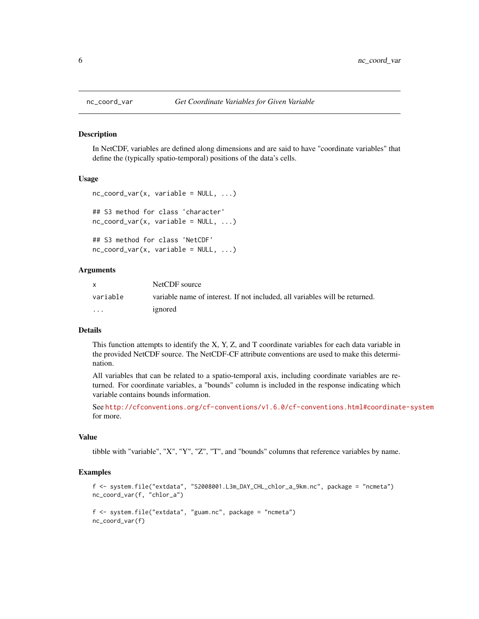In NetCDF, variables are defined along dimensions and are said to have "coordinate variables" that define the (typically spatio-temporal) positions of the data's cells.

#### Usage

```
nc\_coord\_var(x, variable = NULL, ...)## S3 method for class 'character'
nc\_coord\_var(x, variable = NULL, ...)## S3 method for class 'NetCDF'
nc\_coord\_var(x, variable = NULL, ...)
```
#### Arguments

| X        | NetCDF source                                                               |
|----------|-----------------------------------------------------------------------------|
| variable | variable name of interest. If not included, all variables will be returned. |
| .        | ignored                                                                     |

### Details

This function attempts to identify the  $X, Y, Z$ , and T coordinate variables for each data variable in the provided NetCDF source. The NetCDF-CF attribute conventions are used to make this determination.

All variables that can be related to a spatio-temporal axis, including coordinate variables are returned. For coordinate variables, a "bounds" column is included in the response indicating which variable contains bounds information.

See <http://cfconventions.org/cf-conventions/v1.6.0/cf-conventions.html#coordinate-system> for more.

#### Value

tibble with "variable", "X", "Y", "Z", "T", and "bounds" columns that reference variables by name.

#### Examples

```
f <- system.file("extdata", "S2008001.L3m_DAY_CHL_chlor_a_9km.nc", package = "ncmeta")
nc_coord_var(f, "chlor_a")
f <- system.file("extdata", "guam.nc", package = "ncmeta")
nc_coord_var(f)
```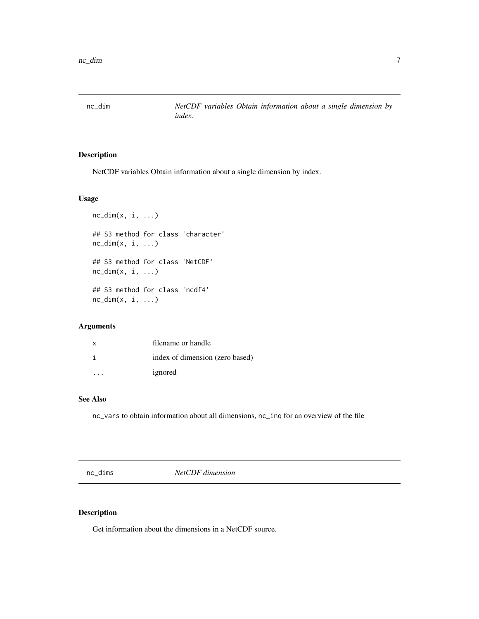<span id="page-6-1"></span><span id="page-6-0"></span>

NetCDF variables Obtain information about a single dimension by index.

# Usage

```
nc\_dim(x, i, ...)## S3 method for class 'character'
nc\_dim(x, i, ...)## S3 method for class 'NetCDF'
nc\_dim(x, i, ...)## S3 method for class 'ncdf4'
nc\_dim(x, i, ...)
```
# Arguments

| x | filename or handle              |
|---|---------------------------------|
|   | index of dimension (zero based) |
|   | ignored                         |

# See Also

nc\_vars to obtain information about all dimensions, nc\_inq for an overview of the file

<span id="page-6-2"></span>nc\_dims *NetCDF dimension*

# Description

Get information about the dimensions in a NetCDF source.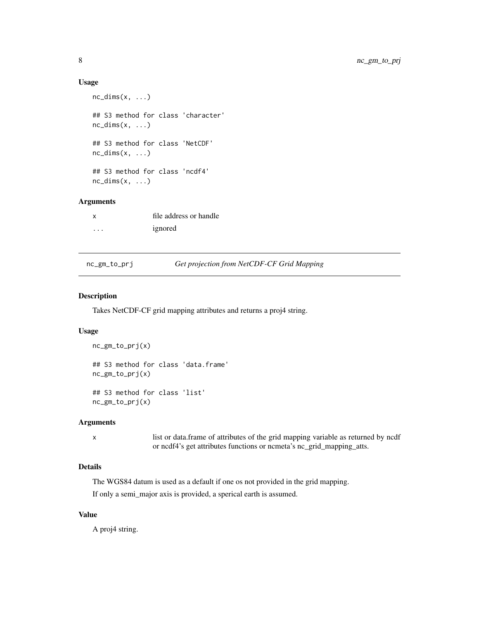#### Usage

```
nc\_dims(x, \ldots)## S3 method for class 'character'
nc\_dims(x, \ldots)## S3 method for class 'NetCDF'
nc\_dims(x, \ldots)## S3 method for class 'ncdf4'
nc\_dims(x, \ldots)
```
# Arguments

|          | file address or handle |
|----------|------------------------|
| $\cdots$ | ignored                |

#### nc\_gm\_to\_prj *Get projection from NetCDF-CF Grid Mapping*

# Description

Takes NetCDF-CF grid mapping attributes and returns a proj4 string.

# Usage

```
nc_gm_to_prj(x)
## S3 method for class 'data.frame'
nc_gm_to_prj(x)
## S3 method for class 'list'
nc_gm_to_prj(x)
```
#### Arguments

x list or data.frame of attributes of the grid mapping variable as returned by ncdf or ncdf4's get attributes functions or ncmeta's nc\_grid\_mapping\_atts.

# Details

The WGS84 datum is used as a default if one os not provided in the grid mapping.

If only a semi\_major axis is provided, a sperical earth is assumed.

# Value

A proj4 string.

<span id="page-7-0"></span>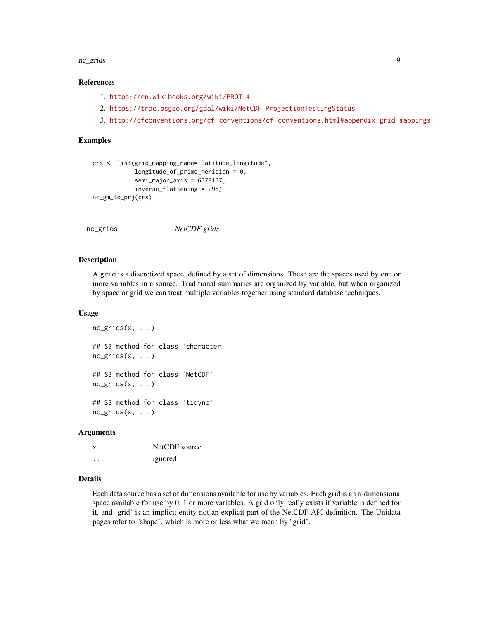#### <span id="page-8-0"></span>nc\_grids 9

# References

- 1. <https://en.wikibooks.org/wiki/PROJ.4>
- 2. [https://trac.osgeo.org/gdal/wiki/NetCDF\\_ProjectionTestingStatus](https://trac.osgeo.org/gdal/wiki/NetCDF_ProjectionTestingStatus)
- 3. <http://cfconventions.org/cf-conventions/cf-conventions.html#appendix-grid-mappings>

#### Examples

```
crs <- list(grid_mapping_name="latitude_longitude",
            longitude_of_prime_meridian = 0,
            semi_major_axis = 6378137,
            inverse_flattening = 298)
nc_gm_to_prj(crs)
```
<span id="page-8-1"></span>nc\_grids *NetCDF grids*

#### **Description**

A grid is a discretized space, defined by a set of dimensions. These are the spaces used by one or more variables in a source. Traditional summaries are organized by variable, but when organized by space or grid we can treat multiple variables together using standard database techniques.

#### Usage

```
nc_grids(x, \ldots)## S3 method for class 'character'
nc\_grids(x, \ldots)## S3 method for class 'NetCDF'
nc\_grids(x, \ldots)## S3 method for class 'tidync'
nc\_grids(x, \ldots)
```
#### Arguments

| x | NetCDF source |
|---|---------------|
| . | ignored       |

#### Details

Each data source has a set of dimensions available for use by variables. Each grid is an n-dimensional space available for use by 0, 1 or more variables. A grid only really exists if variable is defined for it, and 'grid' is an implicit entity not an explicit part of the NetCDF API definition. The Unidata pages refer to "shape", which is more or less what we mean by "grid".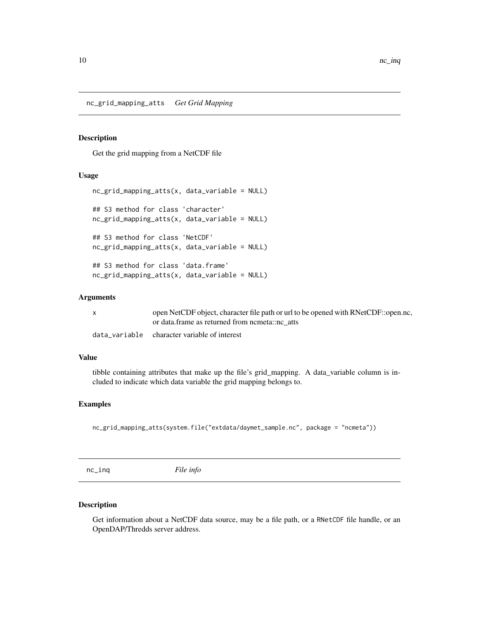<span id="page-9-0"></span>nc\_grid\_mapping\_atts *Get Grid Mapping*

### Description

Get the grid mapping from a NetCDF file

# Usage

```
nc_grid_mapping_atts(x, data_variable = NULL)
## S3 method for class 'character'
nc_grid_mapping_atts(x, data_variable = NULL)
## S3 method for class 'NetCDF'
nc_grid_mapping_atts(x, data_variable = NULL)
## S3 method for class 'data.frame'
nc_grid_mapping_atts(x, data_variable = NULL)
```
# Arguments

|  | open NetCDF object, character file path or url to be opened with RNetCDF::open.nc. |
|--|------------------------------------------------------------------------------------|
|  | or data frame as returned from nometa::no atts                                     |
|  |                                                                                    |

data\_variable character variable of interest

# Value

tibble containing attributes that make up the file's grid\_mapping. A data\_variable column is included to indicate which data variable the grid mapping belongs to.

# Examples

nc\_grid\_mapping\_atts(system.file("extdata/daymet\_sample.nc", package = "ncmeta"))

<span id="page-9-1"></span>nc\_inq *File info*

### Description

Get information about a NetCDF data source, may be a file path, or a RNetCDF file handle, or an OpenDAP/Thredds server address.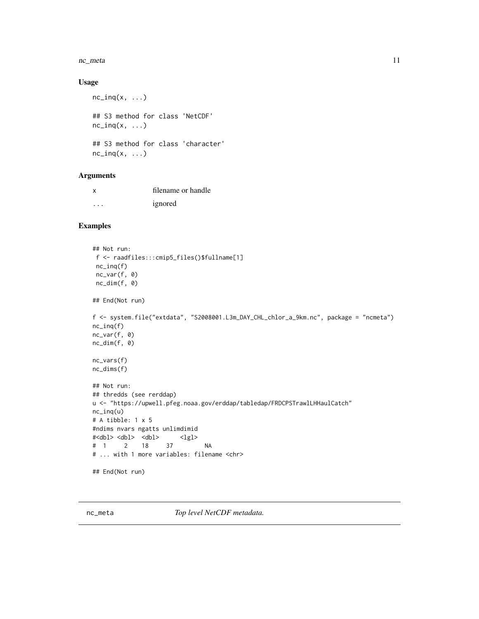#### <span id="page-10-0"></span>nc\_meta 11

# Usage

```
nc\_inq(x, \ldots)## S3 method for class 'NetCDF'
nc\_inq(x, \ldots)## S3 method for class 'character'
nc\_inq(x, \ldots)
```
# Arguments

| x | filename or handle |
|---|--------------------|
| . | ignored            |

# Examples

```
## Not run:
f <- raadfiles:::cmip5_files()$fullname[1]
nc_inq(f)
nc_var(f, 0)
nc_dim(f, 0)
## End(Not run)
f <- system.file("extdata", "S2008001.L3m_DAY_CHL_chlor_a_9km.nc", package = "ncmeta")
nc_inq(f)
nc_var(f, 0)
nc_dim(f, 0)
nc_vars(f)
nc_dims(f)
## Not run:
## thredds (see rerddap)
u <- "https://upwell.pfeg.noaa.gov/erddap/tabledap/FRDCPSTrawlLHHaulCatch"
nc_inq(u)
# A tibble: 1 x 5
#ndims nvars ngatts unlimdimid
#<dbl> <dbl> <dbl> <lgl>
# 1 2 18 37 NA
# ... with 1 more variables: filename <chr>
## End(Not run)
```
<span id="page-10-1"></span>nc\_meta *Top level NetCDF metadata.*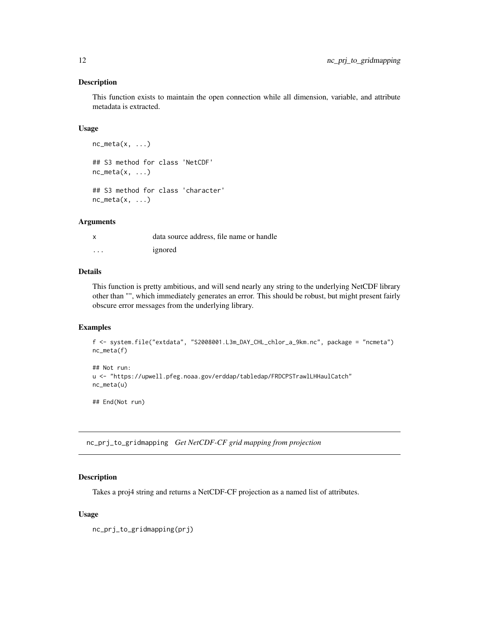<span id="page-11-0"></span>This function exists to maintain the open connection while all dimension, variable, and attribute metadata is extracted.

# Usage

```
nc\_meta(x, \ldots)## S3 method for class 'NetCDF'
nc\_meta(x, \ldots)## S3 method for class 'character'
nc\_meta(x, \ldots)
```
# Arguments

|          | data source address, file name or handle |
|----------|------------------------------------------|
| $\cdots$ | ignored                                  |

# Details

This function is pretty ambitious, and will send nearly any string to the underlying NetCDF library other than "", which immediately generates an error. This should be robust, but might present fairly obscure error messages from the underlying library.

# Examples

```
f <- system.file("extdata", "S2008001.L3m_DAY_CHL_chlor_a_9km.nc", package = "ncmeta")
nc_meta(f)
```

```
## Not run:
u <- "https://upwell.pfeg.noaa.gov/erddap/tabledap/FRDCPSTrawlLHHaulCatch"
nc_meta(u)
```
## End(Not run)

nc\_prj\_to\_gridmapping *Get NetCDF-CF grid mapping from projection*

# Description

Takes a proj4 string and returns a NetCDF-CF projection as a named list of attributes.

#### Usage

nc\_prj\_to\_gridmapping(prj)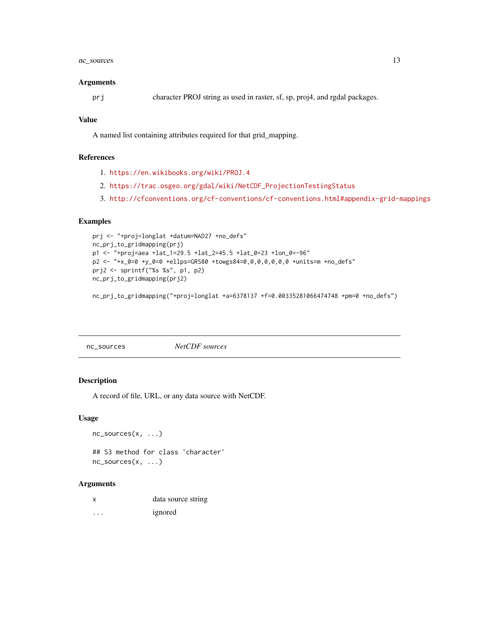# <span id="page-12-0"></span>nc\_sources 13

#### **Arguments**

```
prj character PROJ string as used in raster, sf, sp, proj4, and rgdal packages.
```
# Value

A named list containing attributes required for that grid\_mapping.

# References

- 1. <https://en.wikibooks.org/wiki/PROJ.4>
- 2. [https://trac.osgeo.org/gdal/wiki/NetCDF\\_ProjectionTestingStatus](https://trac.osgeo.org/gdal/wiki/NetCDF_ProjectionTestingStatus)
- 3. <http://cfconventions.org/cf-conventions/cf-conventions.html#appendix-grid-mappings>

# Examples

```
prj <- "+proj=longlat +datum=NAD27 +no_defs"
nc_prj_to_gridmapping(prj)
p1 <- "+proj=aea +lat_1=29.5 +lat_2=45.5 +lat_0=23 +lon_0=-96"
p2 <- "+x_0=0 +y_0=0 +ellps=GRS80 +towgs84=0,0,0,0,0,0,0 +units=m +no_defs"
prj2 <- sprintf("%s %s", p1, p2)
nc_prj_to_gridmapping(prj2)
```
nc\_prj\_to\_gridmapping("+proj=longlat +a=6378137 +f=0.00335281066474748 +pm=0 +no\_defs")

<span id="page-12-1"></span>nc\_sources *NetCDF sources*

#### Description

A record of file, URL, or any data source with NetCDF.

#### Usage

```
nc_sources(x, ...)
## S3 method for class 'character'
nc_sources(x, ...)
```
### Arguments

| data source string |
|--------------------|
|                    |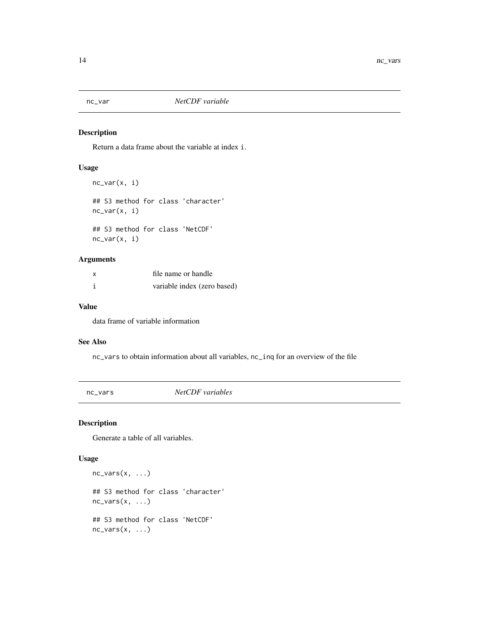<span id="page-13-1"></span><span id="page-13-0"></span>

Return a data frame about the variable at index i.

# Usage

```
nc_var(x, i)
## S3 method for class 'character'
nc_var(x, i)
## S3 method for class 'NetCDF'
nc_var(x, i)
```
# Arguments

| x | file name or handle         |
|---|-----------------------------|
|   | variable index (zero based) |

# Value

data frame of variable information

#### See Also

nc\_vars to obtain information about all variables, nc\_inq for an overview of the file

<span id="page-13-2"></span>nc\_vars *NetCDF variables*

# Description

Generate a table of all variables.

# Usage

```
nc\_vars(x, ...)## S3 method for class 'character'
nc\_vars(x, \ldots)## S3 method for class 'NetCDF'
nc\_vars(x, ...)
```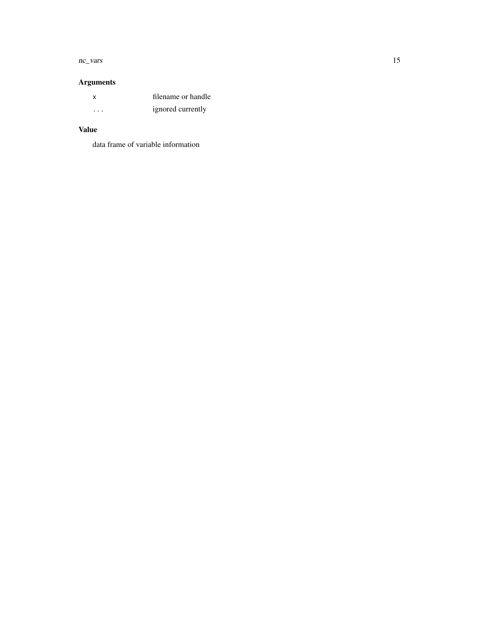#### nc\_vars 15

# Arguments

| x       | filename or handle |
|---------|--------------------|
| $\cdot$ | ignored currently  |

# Value

data frame of variable information